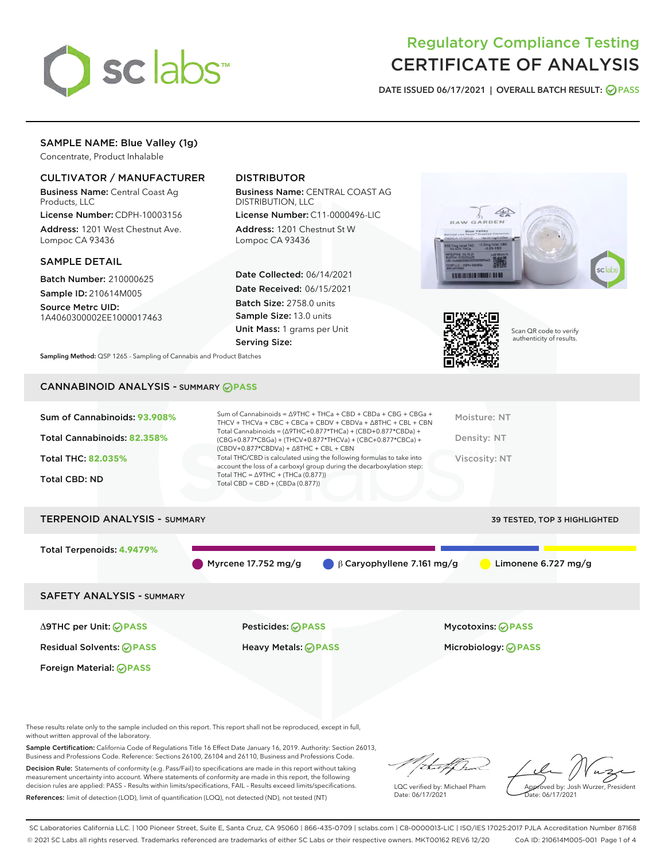

# Regulatory Compliance Testing CERTIFICATE OF ANALYSIS

DATE ISSUED 06/17/2021 | OVERALL BATCH RESULT: @ PASS

# SAMPLE NAME: Blue Valley (1g)

Concentrate, Product Inhalable

# CULTIVATOR / MANUFACTURER

Business Name: Central Coast Ag Products, LLC

License Number: CDPH-10003156 Address: 1201 West Chestnut Ave. Lompoc CA 93436

#### SAMPLE DETAIL

Batch Number: 210000625 Sample ID: 210614M005

Source Metrc UID: 1A4060300002EE1000017463

Foreign Material: **PASS**

# DISTRIBUTOR

Business Name: CENTRAL COAST AG DISTRIBUTION, LLC

License Number: C11-0000496-LIC Address: 1201 Chestnut St W Lompoc CA 93436

Date Collected: 06/14/2021 Date Received: 06/15/2021 Batch Size: 2758.0 units Sample Size: 13.0 units Unit Mass: 1 grams per Unit Serving Size:





Scan QR code to verify authenticity of results.

Sampling Method: QSP 1265 - Sampling of Cannabis and Product Batches

# CANNABINOID ANALYSIS - SUMMARY **PASS**

| Total THC/CBD is calculated using the following formulas to take into<br><b>Total THC: 82.035%</b><br>Viscosity: NT<br>account the loss of a carboxyl group during the decarboxylation step:<br>Total THC = $\triangle$ 9THC + (THCa (0.877))<br><b>Total CBD: ND</b> | Sum of Cannabinoids: 93.908%<br>Total Cannabinoids: 82.358% | Sum of Cannabinoids = $\triangle$ 9THC + THCa + CBD + CBDa + CBG + CBGa +<br>THCV + THCVa + CBC + CBCa + CBDV + CBDVa + $\Delta$ 8THC + CBL + CBN<br>Total Cannabinoids = $(\Delta 9THC + 0.877*THCa) + (CBD + 0.877*CBDa) +$<br>(CBG+0.877*CBGa) + (THCV+0.877*THCVa) + (CBC+0.877*CBCa) +<br>$(CBDV+0.877*CBDVa) + \Delta 8THC + CBL + CBN$ | Moisture: NT<br>Density: NT |
|-----------------------------------------------------------------------------------------------------------------------------------------------------------------------------------------------------------------------------------------------------------------------|-------------------------------------------------------------|-----------------------------------------------------------------------------------------------------------------------------------------------------------------------------------------------------------------------------------------------------------------------------------------------------------------------------------------------|-----------------------------|
|                                                                                                                                                                                                                                                                       |                                                             | Total CBD = $CBD + (CBDa (0.877))$                                                                                                                                                                                                                                                                                                            |                             |

# TERPENOID ANALYSIS - SUMMARY 39 TESTED, TOP 3 HIGHLIGHTED Total Terpenoids: **4.9479%** Myrcene 17.752 mg/g β Caryophyllene 7.161 mg/g Limonene 6.727 mg/g SAFETY ANALYSIS - SUMMARY Δ9THC per Unit: **PASS** Pesticides: **PASS** Mycotoxins: **PASS**

Residual Solvents: **PASS** Heavy Metals: **PASS** Microbiology: **PASS**

These results relate only to the sample included on this report. This report shall not be reproduced, except in full, without written approval of the laboratory.

Sample Certification: California Code of Regulations Title 16 Effect Date January 16, 2019. Authority: Section 26013, Business and Professions Code. Reference: Sections 26100, 26104 and 26110, Business and Professions Code.

Decision Rule: Statements of conformity (e.g. Pass/Fail) to specifications are made in this report without taking measurement uncertainty into account. Where statements of conformity are made in this report, the following decision rules are applied: PASS – Results within limits/specifications, FAIL – Results exceed limits/specifications. References: limit of detection (LOD), limit of quantification (LOQ), not detected (ND), not tested (NT)

that f(ha

LQC verified by: Michael Pham Date: 06/17/2021

Approved by: Josh Wurzer, President ate: 06/17/2021

SC Laboratories California LLC. | 100 Pioneer Street, Suite E, Santa Cruz, CA 95060 | 866-435-0709 | sclabs.com | C8-0000013-LIC | ISO/IES 17025:2017 PJLA Accreditation Number 87168 © 2021 SC Labs all rights reserved. Trademarks referenced are trademarks of either SC Labs or their respective owners. MKT00162 REV6 12/20 CoA ID: 210614M005-001 Page 1 of 4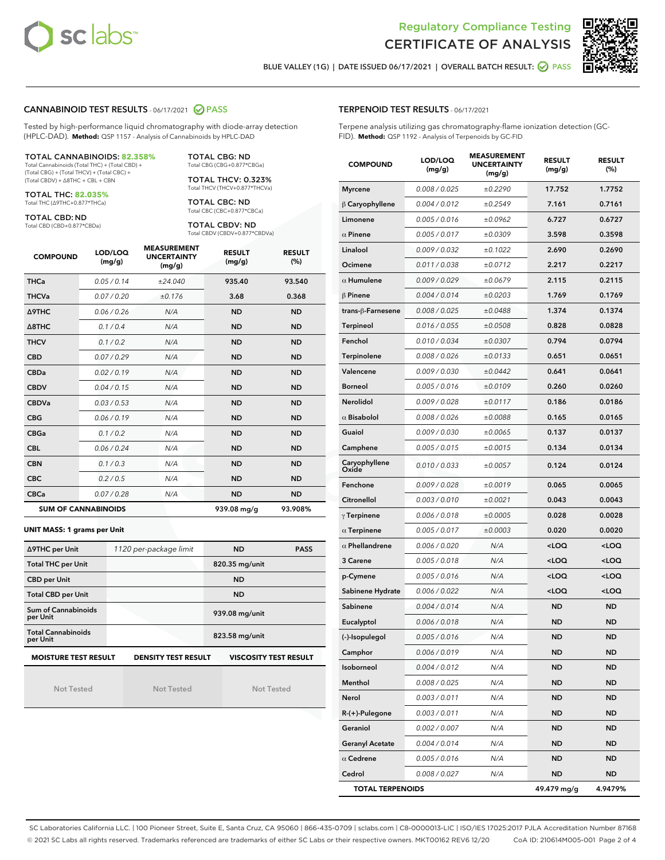



BLUE VALLEY (1G) | DATE ISSUED 06/17/2021 | OVERALL BATCH RESULT: @ PASS

#### CANNABINOID TEST RESULTS - 06/17/2021 2 PASS

Tested by high-performance liquid chromatography with diode-array detection (HPLC-DAD). **Method:** QSP 1157 - Analysis of Cannabinoids by HPLC-DAD

#### TOTAL CANNABINOIDS: **82.358%**

Total Cannabinoids (Total THC) + (Total CBD) + (Total CBG) + (Total THCV) + (Total CBC) + (Total CBDV) + ∆8THC + CBL + CBN

TOTAL THC: **82.035%** Total THC (∆9THC+0.877\*THCa)

TOTAL CBD: ND

Total CBD (CBD+0.877\*CBDa)

TOTAL CBG: ND Total CBG (CBG+0.877\*CBGa)

TOTAL THCV: 0.323% Total THCV (THCV+0.877\*THCVa)

TOTAL CBC: ND Total CBC (CBC+0.877\*CBCa)

TOTAL CBDV: ND Total CBDV (CBDV+0.877\*CBDVa)

| <b>COMPOUND</b>  | LOD/LOQ<br>(mg/g)          | <b>MEASUREMENT</b><br><b>UNCERTAINTY</b><br>(mg/g) | <b>RESULT</b><br>(mg/g) | <b>RESULT</b><br>(%) |
|------------------|----------------------------|----------------------------------------------------|-------------------------|----------------------|
| <b>THCa</b>      | 0.05/0.14                  | ±24.040                                            | 935.40                  | 93.540               |
| <b>THCVa</b>     | 0.07/0.20                  | ±0.176                                             | 3.68                    | 0.368                |
| Δ9THC            | 0.06 / 0.26                | N/A                                                | <b>ND</b>               | <b>ND</b>            |
| $\triangle$ 8THC | 0.1/0.4                    | N/A                                                | <b>ND</b>               | <b>ND</b>            |
| <b>THCV</b>      | 0.1/0.2                    | N/A                                                | <b>ND</b>               | <b>ND</b>            |
| <b>CBD</b>       | 0.07/0.29                  | N/A                                                | <b>ND</b>               | <b>ND</b>            |
| <b>CBDa</b>      | 0.02/0.19                  | N/A                                                | <b>ND</b>               | <b>ND</b>            |
| <b>CBDV</b>      | 0.04 / 0.15                | N/A                                                | <b>ND</b>               | <b>ND</b>            |
| <b>CBDVa</b>     | 0.03/0.53                  | N/A                                                | <b>ND</b>               | <b>ND</b>            |
| <b>CBG</b>       | 0.06/0.19                  | N/A                                                | <b>ND</b>               | <b>ND</b>            |
| <b>CBGa</b>      | 0.1/0.2                    | N/A                                                | <b>ND</b>               | <b>ND</b>            |
| <b>CBL</b>       | 0.06 / 0.24                | N/A                                                | <b>ND</b>               | <b>ND</b>            |
| <b>CBN</b>       | 0.1/0.3                    | N/A                                                | <b>ND</b>               | <b>ND</b>            |
| <b>CBC</b>       | 0.2 / 0.5                  | N/A                                                | <b>ND</b>               | <b>ND</b>            |
| <b>CBCa</b>      | 0.07 / 0.28                | N/A                                                | <b>ND</b>               | <b>ND</b>            |
|                  | <b>SUM OF CANNABINOIDS</b> |                                                    | 939.08 mg/g             | 93.908%              |

#### **UNIT MASS: 1 grams per Unit**

| ∆9THC per Unit                        | 1120 per-package limit     | <b>ND</b>                    | <b>PASS</b> |
|---------------------------------------|----------------------------|------------------------------|-------------|
| <b>Total THC per Unit</b>             |                            | 820.35 mg/unit               |             |
| <b>CBD per Unit</b>                   |                            | <b>ND</b>                    |             |
| <b>Total CBD per Unit</b>             |                            | <b>ND</b>                    |             |
| Sum of Cannabinoids<br>per Unit       |                            | 939.08 mg/unit               |             |
| <b>Total Cannabinoids</b><br>per Unit |                            | 823.58 mg/unit               |             |
| <b>MOISTURE TEST RESULT</b>           | <b>DENSITY TEST RESULT</b> | <b>VISCOSITY TEST RESULT</b> |             |

Not Tested

Not Tested

Not Tested

# TERPENOID TEST RESULTS - 06/17/2021

Terpene analysis utilizing gas chromatography-flame ionization detection (GC-FID). **Method:** QSP 1192 - Analysis of Terpenoids by GC-FID

| <b>COMPOUND</b>         | LOD/LOQ<br>(mg/g) | <b>MEASUREMENT</b><br><b>UNCERTAINTY</b><br>(mg/g) | <b>RESULT</b><br>(mg/g)                         | <b>RESULT</b><br>$(\%)$ |
|-------------------------|-------------------|----------------------------------------------------|-------------------------------------------------|-------------------------|
| <b>Myrcene</b>          | 0.008 / 0.025     | ±0.2290                                            | 17.752                                          | 1.7752                  |
| $\beta$ Caryophyllene   | 0.004 / 0.012     | ±0.2549                                            | 7.161                                           | 0.7161                  |
| Limonene                | 0.005 / 0.016     | ±0.0962                                            | 6.727                                           | 0.6727                  |
| $\alpha$ Pinene         | 0.005 / 0.017     | ±0.0309                                            | 3.598                                           | 0.3598                  |
| Linalool                | 0.009 / 0.032     | ±0.1022                                            | 2.690                                           | 0.2690                  |
| Ocimene                 | 0.011 / 0.038     | ±0.0712                                            | 2.217                                           | 0.2217                  |
| $\alpha$ Humulene       | 0.009/0.029       | ±0.0679                                            | 2.115                                           | 0.2115                  |
| $\beta$ Pinene          | 0.004 / 0.014     | ±0.0203                                            | 1.769                                           | 0.1769                  |
| trans-ß-Farnesene       | 0.008 / 0.025     | ±0.0488                                            | 1.374                                           | 0.1374                  |
| Terpineol               | 0.016 / 0.055     | ±0.0508                                            | 0.828                                           | 0.0828                  |
| Fenchol                 | 0.010 / 0.034     | ±0.0307                                            | 0.794                                           | 0.0794                  |
| Terpinolene             | 0.008 / 0.026     | ±0.0133                                            | 0.651                                           | 0.0651                  |
| Valencene               | 0.009 / 0.030     | ±0.0442                                            | 0.641                                           | 0.0641                  |
| <b>Borneol</b>          | 0.005 / 0.016     | ±0.0109                                            | 0.260                                           | 0.0260                  |
| Nerolidol               | 0.009 / 0.028     | ±0.0117                                            | 0.186                                           | 0.0186                  |
| $\alpha$ Bisabolol      | 0.008 / 0.026     | ±0.0088                                            | 0.165                                           | 0.0165                  |
| Guaiol                  | 0.009 / 0.030     | ±0.0065                                            | 0.137                                           | 0.0137                  |
| Camphene                | 0.005 / 0.015     | ±0.0015                                            | 0.134                                           | 0.0134                  |
| Caryophyllene<br>Oxide  | 0.010 / 0.033     | ±0.0057                                            | 0.124                                           | 0.0124                  |
| Fenchone                | 0.009 / 0.028     | ±0.0019                                            | 0.065                                           | 0.0065                  |
| Citronellol             | 0.003 / 0.010     | ±0.0021                                            | 0.043                                           | 0.0043                  |
| $\gamma$ Terpinene      | 0.006 / 0.018     | ±0.0005                                            | 0.028                                           | 0.0028                  |
| $\alpha$ Terpinene      | 0.005 / 0.017     | ±0.0003                                            | 0.020                                           | 0.0020                  |
| $\alpha$ Phellandrene   | 0.006 / 0.020     | N/A                                                | <loq< th=""><th><loq< th=""></loq<></th></loq<> | <loq< th=""></loq<>     |
| 3 Carene                | 0.005 / 0.018     | N/A                                                | <loq< th=""><th><loq< th=""></loq<></th></loq<> | <loq< th=""></loq<>     |
| p-Cymene                | 0.005 / 0.016     | N/A                                                | <loq< th=""><th><loq< th=""></loq<></th></loq<> | <loq< th=""></loq<>     |
| Sabinene Hydrate        | 0.006 / 0.022     | N/A                                                | <loq< th=""><th><loq< th=""></loq<></th></loq<> | <loq< th=""></loq<>     |
| Sabinene                | 0.004 / 0.014     | N/A                                                | ND                                              | <b>ND</b>               |
| Eucalyptol              | 0.006 / 0.018     | N/A                                                | ND                                              | <b>ND</b>               |
| (-)-Isopulegol          | 0.005 / 0.016     | N/A                                                | <b>ND</b>                                       | <b>ND</b>               |
| Camphor                 | 0.006 / 0.019     | N/A                                                | ND                                              | ND                      |
| Isoborneol              | 0.004 / 0.012     | N/A                                                | ND                                              | ND                      |
| Menthol                 | 0.008 / 0.025     | N/A                                                | ND                                              | ND                      |
| Nerol                   | 0.003 / 0.011     | N/A                                                | ND                                              | ND                      |
| R-(+)-Pulegone          | 0.003 / 0.011     | N/A                                                | ND                                              | ND                      |
| Geraniol                | 0.002 / 0.007     | N/A                                                | ND                                              | ND                      |
| <b>Geranyl Acetate</b>  | 0.004 / 0.014     | N/A                                                | ND                                              | ND                      |
| $\alpha$ Cedrene        | 0.005 / 0.016     | N/A                                                | ND                                              | ND                      |
| Cedrol                  | 0.008 / 0.027     | N/A                                                | ND                                              | <b>ND</b>               |
| <b>TOTAL TERPENOIDS</b> |                   |                                                    | 49.479 mg/g                                     | 4.9479%                 |

SC Laboratories California LLC. | 100 Pioneer Street, Suite E, Santa Cruz, CA 95060 | 866-435-0709 | sclabs.com | C8-0000013-LIC | ISO/IES 17025:2017 PJLA Accreditation Number 87168 © 2021 SC Labs all rights reserved. Trademarks referenced are trademarks of either SC Labs or their respective owners. MKT00162 REV6 12/20 CoA ID: 210614M005-001 Page 2 of 4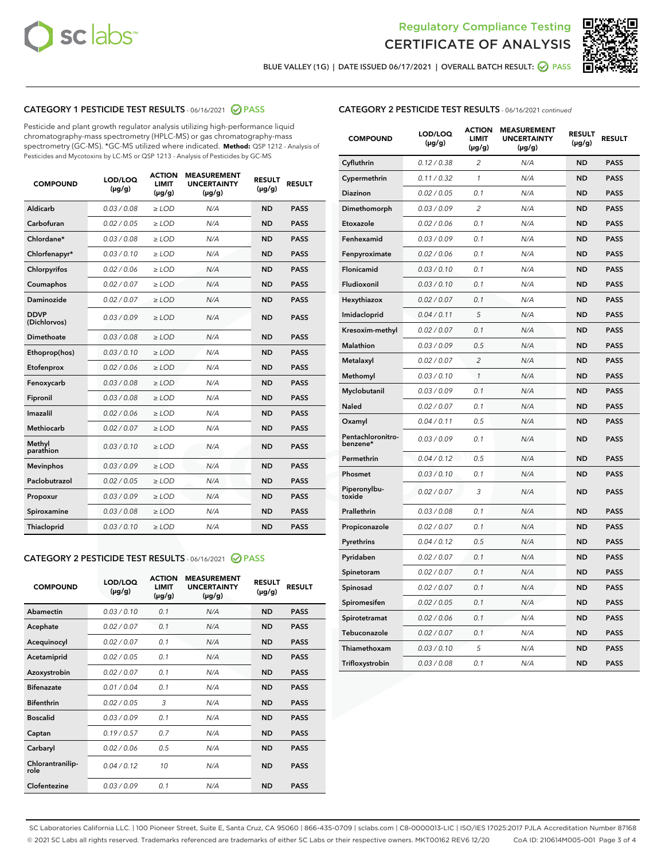



BLUE VALLEY (1G) | DATE ISSUED 06/17/2021 | OVERALL BATCH RESULT:  $\bigcirc$  PASS

# CATEGORY 1 PESTICIDE TEST RESULTS - 06/16/2021 2 PASS

Pesticide and plant growth regulator analysis utilizing high-performance liquid chromatography-mass spectrometry (HPLC-MS) or gas chromatography-mass spectrometry (GC-MS). \*GC-MS utilized where indicated. **Method:** QSP 1212 - Analysis of Pesticides and Mycotoxins by LC-MS or QSP 1213 - Analysis of Pesticides by GC-MS

| <b>COMPOUND</b>             | LOD/LOQ<br>$(\mu g/g)$ | <b>ACTION</b><br><b>LIMIT</b><br>$(\mu g/g)$ | <b>MEASUREMENT</b><br><b>UNCERTAINTY</b><br>$(\mu g/g)$ | <b>RESULT</b><br>$(\mu g/g)$ | <b>RESULT</b> |
|-----------------------------|------------------------|----------------------------------------------|---------------------------------------------------------|------------------------------|---------------|
| Aldicarb                    | 0.03 / 0.08            | $\ge$ LOD                                    | N/A                                                     | <b>ND</b>                    | <b>PASS</b>   |
| Carbofuran                  | 0.02 / 0.05            | $\ge$ LOD                                    | N/A                                                     | <b>ND</b>                    | <b>PASS</b>   |
| Chlordane*                  | 0.03 / 0.08            | $\ge$ LOD                                    | N/A                                                     | <b>ND</b>                    | <b>PASS</b>   |
| Chlorfenapyr*               | 0.03/0.10              | $\ge$ LOD                                    | N/A                                                     | <b>ND</b>                    | <b>PASS</b>   |
| Chlorpyrifos                | 0.02 / 0.06            | $\ge$ LOD                                    | N/A                                                     | <b>ND</b>                    | <b>PASS</b>   |
| Coumaphos                   | 0.02 / 0.07            | $\ge$ LOD                                    | N/A                                                     | <b>ND</b>                    | <b>PASS</b>   |
| Daminozide                  | 0.02 / 0.07            | $\ge$ LOD                                    | N/A                                                     | <b>ND</b>                    | <b>PASS</b>   |
| <b>DDVP</b><br>(Dichlorvos) | 0.03/0.09              | $\ge$ LOD                                    | N/A                                                     | <b>ND</b>                    | <b>PASS</b>   |
| Dimethoate                  | 0.03 / 0.08            | $>$ LOD                                      | N/A                                                     | <b>ND</b>                    | <b>PASS</b>   |
| Ethoprop(hos)               | 0.03/0.10              | $\ge$ LOD                                    | N/A                                                     | <b>ND</b>                    | <b>PASS</b>   |
| Etofenprox                  | 0.02/0.06              | $>$ LOD                                      | N/A                                                     | <b>ND</b>                    | <b>PASS</b>   |
| Fenoxycarb                  | 0.03 / 0.08            | $\geq$ LOD                                   | N/A                                                     | <b>ND</b>                    | <b>PASS</b>   |
| Fipronil                    | 0.03 / 0.08            | $>$ LOD                                      | N/A                                                     | <b>ND</b>                    | <b>PASS</b>   |
| Imazalil                    | 0.02 / 0.06            | $\ge$ LOD                                    | N/A                                                     | <b>ND</b>                    | <b>PASS</b>   |
| Methiocarb                  | 0.02 / 0.07            | $\ge$ LOD                                    | N/A                                                     | <b>ND</b>                    | <b>PASS</b>   |
| Methyl<br>parathion         | 0.03/0.10              | $\ge$ LOD                                    | N/A                                                     | <b>ND</b>                    | <b>PASS</b>   |
| <b>Mevinphos</b>            | 0.03/0.09              | $\ge$ LOD                                    | N/A                                                     | <b>ND</b>                    | <b>PASS</b>   |
| Paclobutrazol               | 0.02 / 0.05            | $\ge$ LOD                                    | N/A                                                     | <b>ND</b>                    | <b>PASS</b>   |
| Propoxur                    | 0.03/0.09              | $\ge$ LOD                                    | N/A                                                     | <b>ND</b>                    | <b>PASS</b>   |
| Spiroxamine                 | 0.03 / 0.08            | $\ge$ LOD                                    | N/A                                                     | <b>ND</b>                    | <b>PASS</b>   |
| <b>Thiacloprid</b>          | 0.03/0.10              | $\ge$ LOD                                    | N/A                                                     | <b>ND</b>                    | <b>PASS</b>   |

#### CATEGORY 2 PESTICIDE TEST RESULTS - 06/16/2021 @ PASS

| <b>COMPOUND</b>          | LOD/LOQ<br>$(\mu g/g)$ | <b>ACTION</b><br><b>LIMIT</b><br>$(\mu g/g)$ | <b>MEASUREMENT</b><br><b>UNCERTAINTY</b><br>$(\mu g/g)$ | <b>RESULT</b><br>$(\mu g/g)$ | <b>RESULT</b> |
|--------------------------|------------------------|----------------------------------------------|---------------------------------------------------------|------------------------------|---------------|
| Abamectin                | 0.03/0.10              | 0.1                                          | N/A                                                     | <b>ND</b>                    | <b>PASS</b>   |
| Acephate                 | 0.02/0.07              | 0.1                                          | N/A                                                     | <b>ND</b>                    | <b>PASS</b>   |
| Acequinocyl              | 0.02/0.07              | 0.1                                          | N/A                                                     | <b>ND</b>                    | <b>PASS</b>   |
| Acetamiprid              | 0.02/0.05              | 0.1                                          | N/A                                                     | <b>ND</b>                    | <b>PASS</b>   |
| Azoxystrobin             | 0.02/0.07              | 0.1                                          | N/A                                                     | <b>ND</b>                    | <b>PASS</b>   |
| <b>Bifenazate</b>        | 0.01/0.04              | 0.1                                          | N/A                                                     | <b>ND</b>                    | <b>PASS</b>   |
| <b>Bifenthrin</b>        | 0.02 / 0.05            | 3                                            | N/A                                                     | <b>ND</b>                    | <b>PASS</b>   |
| <b>Boscalid</b>          | 0.03/0.09              | 0.1                                          | N/A                                                     | <b>ND</b>                    | <b>PASS</b>   |
| Captan                   | 0.19/0.57              | 0.7                                          | N/A                                                     | <b>ND</b>                    | <b>PASS</b>   |
| Carbaryl                 | 0.02/0.06              | 0.5                                          | N/A                                                     | <b>ND</b>                    | <b>PASS</b>   |
| Chlorantranilip-<br>role | 0.04/0.12              | 10                                           | N/A                                                     | <b>ND</b>                    | <b>PASS</b>   |
| Clofentezine             | 0.03/0.09              | 0.1                                          | N/A                                                     | <b>ND</b>                    | <b>PASS</b>   |

## CATEGORY 2 PESTICIDE TEST RESULTS - 06/16/2021 continued

| <b>COMPOUND</b>               | LOD/LOQ<br>(µg/g) | <b>ACTION</b><br><b>LIMIT</b><br>$(\mu g/g)$ | <b>MEASUREMENT</b><br><b>UNCERTAINTY</b><br>$(\mu g/g)$ | <b>RESULT</b><br>(µg/g) | <b>RESULT</b> |
|-------------------------------|-------------------|----------------------------------------------|---------------------------------------------------------|-------------------------|---------------|
| Cyfluthrin                    | 0.12 / 0.38       | $\overline{c}$                               | N/A                                                     | ND                      | <b>PASS</b>   |
| Cypermethrin                  | 0.11 / 0.32       | $\mathcal{I}$                                | N/A                                                     | ND                      | <b>PASS</b>   |
| <b>Diazinon</b>               | 0.02 / 0.05       | 0.1                                          | N/A                                                     | <b>ND</b>               | <b>PASS</b>   |
| Dimethomorph                  | 0.03 / 0.09       | 2                                            | N/A                                                     | ND                      | <b>PASS</b>   |
| Etoxazole                     | 0.02 / 0.06       | 0.1                                          | N/A                                                     | ND                      | <b>PASS</b>   |
| Fenhexamid                    | 0.03 / 0.09       | 0.1                                          | N/A                                                     | ND                      | <b>PASS</b>   |
| Fenpyroximate                 | 0.02 / 0.06       | 0.1                                          | N/A                                                     | <b>ND</b>               | <b>PASS</b>   |
| Flonicamid                    | 0.03 / 0.10       | 0.1                                          | N/A                                                     | ND                      | <b>PASS</b>   |
| Fludioxonil                   | 0.03 / 0.10       | 0.1                                          | N/A                                                     | ND                      | <b>PASS</b>   |
| Hexythiazox                   | 0.02 / 0.07       | 0.1                                          | N/A                                                     | ND                      | <b>PASS</b>   |
| Imidacloprid                  | 0.04 / 0.11       | 5                                            | N/A                                                     | ND                      | <b>PASS</b>   |
| Kresoxim-methyl               | 0.02 / 0.07       | 0.1                                          | N/A                                                     | ND                      | <b>PASS</b>   |
| Malathion                     | 0.03 / 0.09       | 0.5                                          | N/A                                                     | ND                      | <b>PASS</b>   |
| Metalaxyl                     | 0.02 / 0.07       | $\overline{c}$                               | N/A                                                     | ND                      | <b>PASS</b>   |
| Methomyl                      | 0.03 / 0.10       | $\mathbf{1}$                                 | N/A                                                     | ND                      | <b>PASS</b>   |
| Myclobutanil                  | 0.03 / 0.09       | 0.1                                          | N/A                                                     | <b>ND</b>               | <b>PASS</b>   |
| Naled                         | 0.02 / 0.07       | 0.1                                          | N/A                                                     | ND                      | <b>PASS</b>   |
| Oxamyl                        | 0.04 / 0.11       | 0.5                                          | N/A                                                     | ND                      | PASS          |
| Pentachloronitro-<br>benzene* | 0.03 / 0.09       | 0.1                                          | N/A                                                     | ND                      | <b>PASS</b>   |
| Permethrin                    | 0.04 / 0.12       | 0.5                                          | N/A                                                     | ND                      | <b>PASS</b>   |
| Phosmet                       | 0.03 / 0.10       | 0.1                                          | N/A                                                     | ND                      | <b>PASS</b>   |
| Piperonylbu-<br>toxide        | 0.02 / 0.07       | 3                                            | N/A                                                     | <b>ND</b>               | <b>PASS</b>   |
| Prallethrin                   | 0.03 / 0.08       | 0.1                                          | N/A                                                     | ND                      | <b>PASS</b>   |
| Propiconazole                 | 0.02 / 0.07       | 0.1                                          | N/A                                                     | <b>ND</b>               | <b>PASS</b>   |
| Pyrethrins                    | 0.04 / 0.12       | 0.5                                          | N/A                                                     | ND                      | <b>PASS</b>   |
| Pyridaben                     | 0.02 / 0.07       | 0.1                                          | N/A                                                     | <b>ND</b>               | <b>PASS</b>   |
| Spinetoram                    | 0.02 / 0.07       | 0.1                                          | N/A                                                     | ND                      | <b>PASS</b>   |
| Spinosad                      | 0.02 / 0.07       | 0.1                                          | N/A                                                     | ND                      | <b>PASS</b>   |
| Spiromesifen                  | 0.02 / 0.05       | 0.1                                          | N/A                                                     | <b>ND</b>               | <b>PASS</b>   |
| Spirotetramat                 | 0.02 / 0.06       | 0.1                                          | N/A                                                     | ND                      | <b>PASS</b>   |
| Tebuconazole                  | 0.02 / 0.07       | 0.1                                          | N/A                                                     | ND                      | <b>PASS</b>   |
| Thiamethoxam                  | 0.03 / 0.10       | 5                                            | N/A                                                     | <b>ND</b>               | <b>PASS</b>   |
| Trifloxystrobin               | 0.03 / 0.08       | 0.1                                          | N/A                                                     | <b>ND</b>               | <b>PASS</b>   |

SC Laboratories California LLC. | 100 Pioneer Street, Suite E, Santa Cruz, CA 95060 | 866-435-0709 | sclabs.com | C8-0000013-LIC | ISO/IES 17025:2017 PJLA Accreditation Number 87168 © 2021 SC Labs all rights reserved. Trademarks referenced are trademarks of either SC Labs or their respective owners. MKT00162 REV6 12/20 CoA ID: 210614M005-001 Page 3 of 4